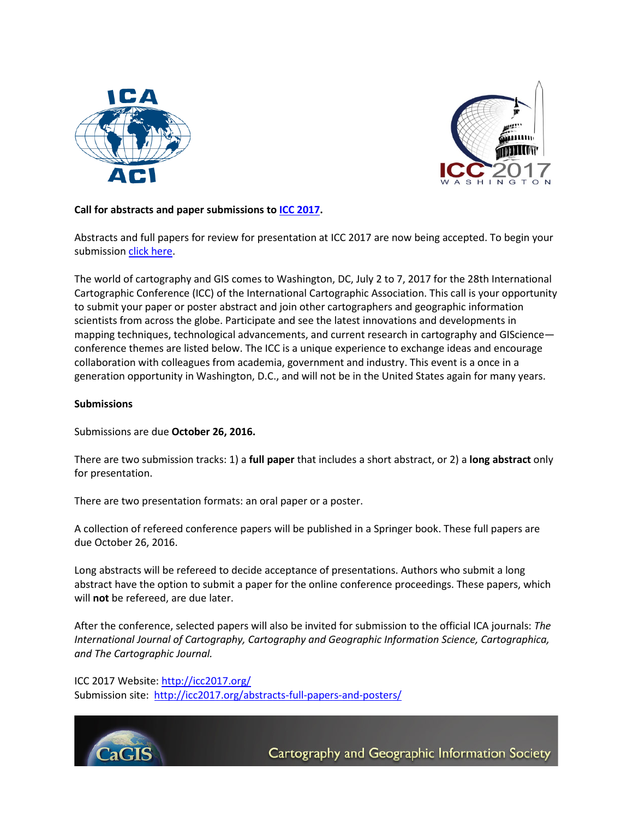



## **Call for abstracts and paper submissions to [ICC 2017.](http://www.icc2017.org/)**

Abstracts and full papers for review for presentation at ICC 2017 are now being accepted. To begin your submissio[n click here.](http://icc2017.org/abstracts-full-papers-and-posters/)

The world of cartography and GIS comes to Washington, DC, July 2 to 7, 2017 for the 28th International Cartographic Conference (ICC) of the International Cartographic Association. This call is your opportunity to submit your paper or poster abstract and join other cartographers and geographic information scientists from across the globe. Participate and see the latest innovations and developments in mapping techniques, technological advancements, and current research in cartography and GIScience conference themes are listed below. The ICC is a unique experience to exchange ideas and encourage collaboration with colleagues from academia, government and industry. This event is a once in a generation opportunity in Washington, D.C., and will not be in the United States again for many years.

## **Submissions**

Submissions are due **October 26, 2016.**

There are two submission tracks: 1) a **full paper** that includes a short abstract, or 2) a **long abstract** only for presentation.

There are two presentation formats: an oral paper or a poster.

A collection of refereed conference papers will be published in a Springer book. These full papers are due October 26, 2016.

Long abstracts will be refereed to decide acceptance of presentations. Authors who submit a long abstract have the option to submit a paper for the online conference proceedings. These papers, which will **not** be refereed, are due later.

After the conference, selected papers will also be invited for submission to the official ICA journals: *The International Journal of Cartography, Cartography and Geographic Information Science, Cartographica, and The Cartographic Journal.* 

ICC 2017 Website:<http://icc2017.org/> Submission site: <http://icc2017.org/abstracts-full-papers-and-posters/>



Cartography and Geographic Information Society